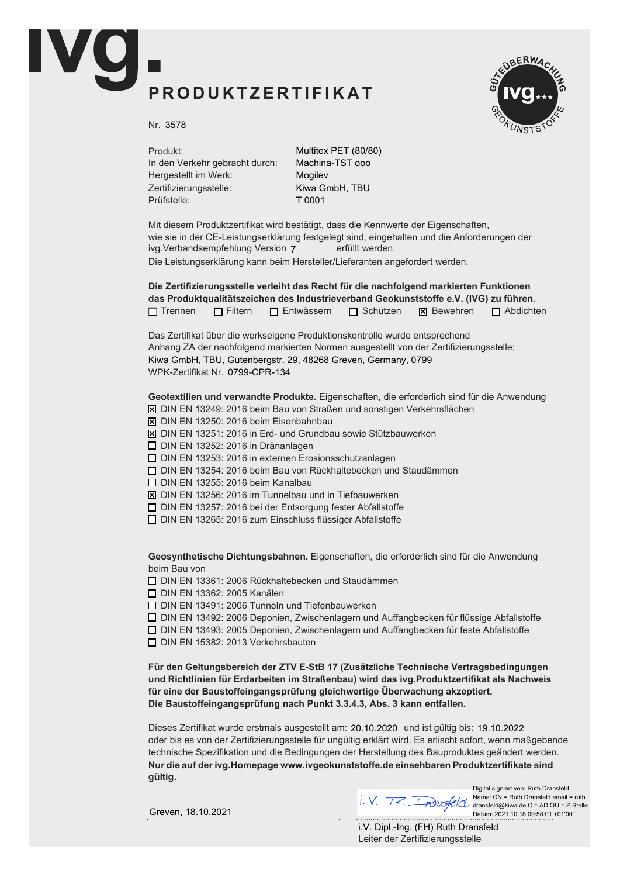## PRODUKTZERTIFIKAT



Nr. 3578

Produkt: In den Verkehr gebracht durch: Hergestellt im Werk: Zertifizierungsstelle: Prüfstelle:

Multitex PET (80/80) Machina-TST ooo Mogilev Kiwa GmbH, TBU T 0001

Mit diesem Produktzertifikat wird bestätigt, dass die Kennwerte der Eigenschaften, wie sie in der CE-Leistungserklärung festgelegt sind, eingehalten und die Anforderungen der ivg.Verbandsempfehlung Version 7 erfüllt werden. Die Leistungserklärung kann beim Hersteller/Lieferanten angefordert werden.

Die Zertifizierungsstelle verleiht das Recht für die nachfolgend markierten Funktionen das Produktqualitätszeichen des Industrieverband Geokunststoffe e.V. (IVG) zu führen.  $\Box$  Trennen  $\Box$  Filtern  $\Box$  Entwässern  $\Box$  Schützen  $\boxtimes$  Bewehren  $\Box$  Abdichten

Das Zertifikat über die werkseigene Produktionskontrolle wurde entsprechend Anhang ZA der nachfolgend markierten Normen ausgestellt von der Zertifizierungsstelle: WPK-Zertifikat Nr. 0799-CPR-134 Kiwa GmbH, TBU, Gutenbergstr. 29, 48268 Greven, Germany, 0799

Geotextilien und verwandte Produkte. Eigenschaften, die erforderlich sind für die Anwendung

- $\overline{X}$  DIN EN 13249: 2016 beim Bau von Straßen und sonstigen Verkehrsflächen
- $\boxtimes$  DIN EN 13250: 2016 beim Eisenbahnbau
- $\boxtimes$  DIN EN 13251: 2016 in Erd- und Grundbau sowie Stützbauwerken
- $\Box$  DIN EN 13252: 2016 in Dränanlagen
- $\Box$  DIN EN 13253: 2016 in externen Erosionsschutzanlagen
- $\Box$  DIN EN 13254: 2016 beim Bau von Rückhaltebecken und Staudämmen
- $\Box$  DIN EN 13255: 2016 beim Kanalbau
- $\boxtimes$  DIN EN 13256: 2016 im Tunnelbau und in Tiefbauwerken
- $\Box$  DIN EN 13257: 2016 bei der Entsorgung fester Abfallstoffe
- $\Box$  DIN EN 13265: 2016 zum Einschluss flüssiger Abfallstoffe

Geosynthetische Dichtungsbahnen. Eigenschaften, die erforderlich sind für die Anwendung beim Bau von

 $\Box$  DIN EN 13361: 2006 Rückhaltebecken und Staudämmen

**D** DIN EN 13362: 2005 Kanälen

 $\Box$  DIN EN 13491: 2006 Tunneln und Tiefenbauwerken

 $\Box$  DIN EN 13492: 2006 Deponien, Zwischenlagern und Auffangbecken für flüssige Abfallstoffe

 $\Box$  DIN EN 13493: 2005 Deponien, Zwischenlagern und Auffangbecken für feste Abfallstoffe

 $\Box$  DIN EN 15382: 2013 Verkehrsbauten

Für den Geltungsbereich der ZTV E-StB 17 (Zusätzliche Technische Vertragsbedingungen und Richtlinien für Erdarbeiten im Straßenbau) wird das ivg. Produktzertifikat als Nachweis für eine der Baustoffeingangsprüfung gleichwertige Überwachung akzeptiert. Die Baustoffeingangsprüfung nach Punkt 3.3.4.3, Abs. 3 kann entfallen.

Dieses Zertifikat wurde erstmals ausgestellt am: 20.10.2020 und ist gültig bis: 19.10.2022 oder bis es von der Zertifizierungsstelle für ungültig erklärt wird. Es erlischt sofort, wenn maßgebende technische Spezifikation und die Bedingungen der Herstellung des Bauproduktes geändert werden. Nur die auf der ivg. Homepage www.ivgeokunststoffe. de einsehbaren Produktzertifikate sind aültia.

Greven, 18.10.2021

Digital signiert von: Ruth Dransfeld Name: CN = Ruth Dransfeld email = ruth. dransfeld@kiwa.de C = AD OU = Z-Stelle Datum: 2021.10.18 09:58:01 +01'00'

Leiter der Zertifizierungsstelle i.V. Dipl.-Ing. (FH) Ruth Dransfeld